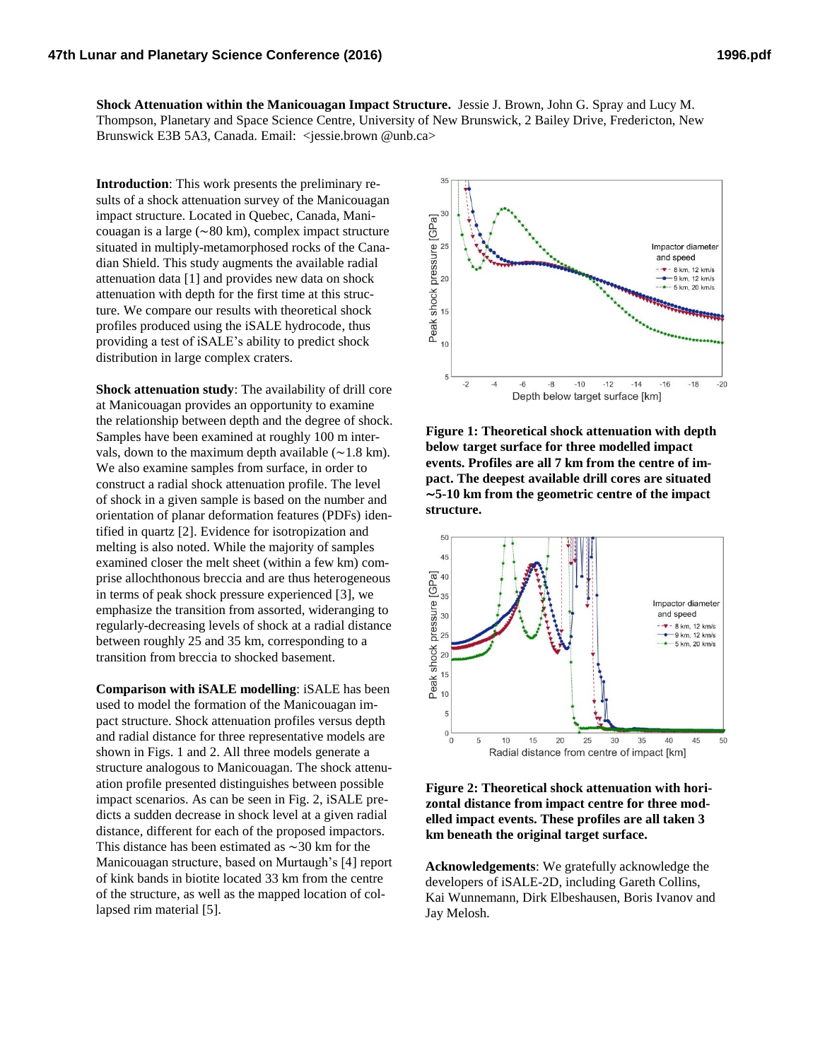**Shock Attenuation within the Manicouagan Impact Structure.** Jessie J. Brown, John G. Spray and Lucy M. Thompson, Planetary and Space Science Centre, University of New Brunswick, 2 Bailey Drive, Fredericton, New Brunswick E3B 5A3, Canada. Email: <jessie.brown @unb.ca>

**Introduction**: This work presents the preliminary results of a shock attenuation survey of the Manicouagan impact structure. Located in Quebec, Canada, Manicouagan is a large (∼80 km), complex impact structure situated in multiply-metamorphosed rocks of the Canadian Shield. This study augments the available radial attenuation data [1] and provides new data on shock attenuation with depth for the first time at this structure. We compare our results with theoretical shock profiles produced using the iSALE hydrocode, thus providing a test of iSALE's ability to predict shock distribution in large complex craters.

**Shock attenuation study**: The availability of drill core at Manicouagan provides an opportunity to examine the relationship between depth and the degree of shock. Samples have been examined at roughly 100 m intervals, down to the maximum depth available (∼1.8 km). We also examine samples from surface, in order to construct a radial shock attenuation profile. The level of shock in a given sample is based on the number and orientation of planar deformation features (PDFs) identified in quartz [2]. Evidence for isotropization and melting is also noted. While the majority of samples examined closer the melt sheet (within a few km) comprise allochthonous breccia and are thus heterogeneous in terms of peak shock pressure experienced [3], we emphasize the transition from assorted, wideranging to regularly-decreasing levels of shock at a radial distance between roughly 25 and 35 km, corresponding to a transition from breccia to shocked basement.

**Comparison with iSALE modelling**: iSALE has been used to model the formation of the Manicouagan impact structure. Shock attenuation profiles versus depth and radial distance for three representative models are shown in Figs. 1 and 2. All three models generate a structure analogous to Manicouagan. The shock attenuation profile presented distinguishes between possible impact scenarios. As can be seen in Fig. 2, iSALE predicts a sudden decrease in shock level at a given radial distance, different for each of the proposed impactors. This distance has been estimated as ∼30 km for the Manicouagan structure, based on Murtaugh's [4] report of kink bands in biotite located 33 km from the centre of the structure, as well as the mapped location of collapsed rim material [5].



**Figure 1: Theoretical shock attenuation with depth below target surface for three modelled impact events. Profiles are all 7 km from the centre of impact. The deepest available drill cores are situated**  ∼**5-10 km from the geometric centre of the impact structure.**



**Figure 2: Theoretical shock attenuation with horizontal distance from impact centre for three modelled impact events. These profiles are all taken 3 km beneath the original target surface.**

**Acknowledgements**: We gratefully acknowledge the developers of iSALE-2D, including Gareth Collins, Kai Wunnemann, Dirk Elbeshausen, Boris Ivanov and Jay Melosh.